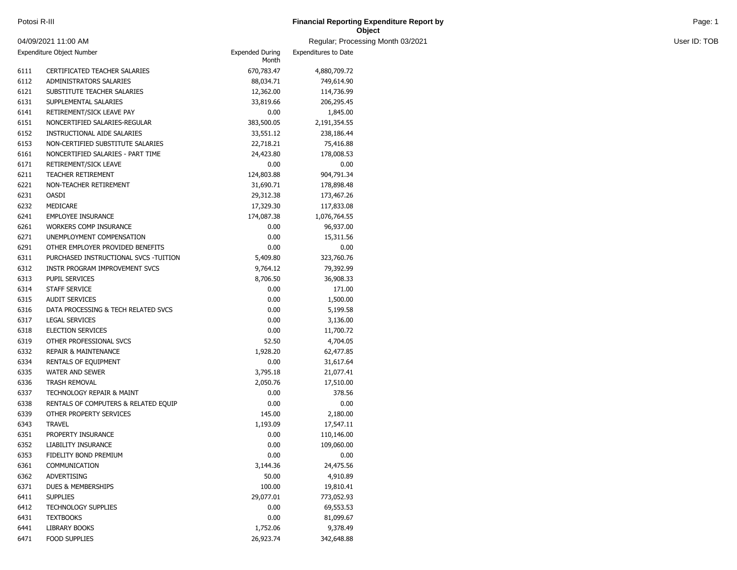| Potosi R-III | <b>Financial Reporting Expenditure Report by</b> | Page <sup>-</sup> |
|--------------|--------------------------------------------------|-------------------|
|              | Object                                           |                   |

and Month 03/2021 **User ID: TOB** 

|                           | 04/09/2021 11:00 AM                   |                                 | Regular; Processi    |
|---------------------------|---------------------------------------|---------------------------------|----------------------|
| Expenditure Object Number |                                       | <b>Expended During</b><br>Month | Expenditures to Date |
| 6111                      | CERTIFICATED TEACHER SALARIES         | 670,783.47                      | 4,880,709.72         |
| 6112                      | ADMINISTRATORS SALARIES               | 88,034.71                       | 749,614.90           |
| 6121                      | SUBSTITUTE TEACHER SALARIES           | 12,362.00                       | 114,736.99           |
| 6131                      | SUPPLEMENTAL SALARIES                 | 33,819.66                       | 206,295.45           |
| 6141                      | RETIREMENT/SICK LEAVE PAY             | 0.00                            | 1,845.00             |
| 6151                      | NONCERTIFIED SALARIES-REGULAR         | 383,500.05                      | 2,191,354.55         |
| 6152                      | INSTRUCTIONAL AIDE SALARIES           | 33,551.12                       | 238,186.44           |
| 6153                      | NON-CERTIFIED SUBSTITUTE SALARIES     | 22,718.21                       | 75,416.88            |
| 6161                      | NONCERTIFIED SALARIES - PART TIME     | 24,423.80                       | 178,008.53           |
| 6171                      | RETIREMENT/SICK LEAVE                 | 0.00                            | 0.00                 |
| 6211                      | TEACHER RETIREMENT                    | 124,803.88                      | 904,791.34           |
| 6221                      | NON-TEACHER RETIREMENT                | 31,690.71                       | 178,898.48           |
| 6231                      | <b>OASDI</b>                          | 29,312.38                       | 173,467.26           |
| 6232                      | MEDICARE                              | 17,329.30                       | 117,833.08           |
| 6241                      | <b>EMPLOYEE INSURANCE</b>             | 174,087.38                      | 1,076,764.55         |
| 6261                      | <b>WORKERS COMP INSURANCE</b>         | 0.00                            | 96,937.00            |
| 6271                      | UNEMPLOYMENT COMPENSATION             | 0.00                            | 15,311.56            |
| 6291                      | OTHER EMPLOYER PROVIDED BENEFITS      | 0.00                            | 0.00                 |
| 6311                      | PURCHASED INSTRUCTIONAL SVCS -TUITION | 5,409.80                        | 323,760.76           |
| 6312                      | INSTR PROGRAM IMPROVEMENT SVCS        | 9,764.12                        | 79,392.99            |
| 6313                      | <b>PUPIL SERVICES</b>                 | 8,706.50                        | 36,908.33            |
| 6314                      | <b>STAFF SERVICE</b>                  | 0.00                            | 171.00               |
| 6315                      | <b>AUDIT SERVICES</b>                 | 0.00                            | 1,500.00             |
| 6316                      | DATA PROCESSING & TECH RELATED SVCS   | 0.00                            | 5,199.58             |
| 6317                      | <b>LEGAL SERVICES</b>                 | 0.00                            | 3,136.00             |
| 6318                      | <b>ELECTION SERVICES</b>              | 0.00                            | 11,700.72            |
| 6319                      | OTHER PROFESSIONAL SVCS               | 52.50                           | 4,704.05             |
| 6332                      | <b>REPAIR &amp; MAINTENANCE</b>       | 1,928.20                        | 62,477.85            |
| 6334                      | RENTALS OF EQUIPMENT                  | 0.00                            | 31,617.64            |
| 6335                      | <b>WATER AND SEWER</b>                | 3,795.18                        | 21,077.41            |
| 6336                      | <b>TRASH REMOVAL</b>                  | 2,050.76                        | 17,510.00            |
| 6337                      | TECHNOLOGY REPAIR & MAINT             | 0.00                            | 378.56               |
| 6338                      | RENTALS OF COMPUTERS & RELATED EQUIP  | 0.00                            | 0.00                 |
| 6339                      | OTHER PROPERTY SERVICES               | 145.00                          | 2,180.00             |
| 6343                      | <b>TRAVEL</b>                         | 1,193.09                        | 17,547.11            |
| 6351                      | PROPERTY INSURANCE                    | 0.00                            | 110,146.00           |
| 6352                      | LIABILITY INSURANCE                   | 0.00                            | 109,060.00           |
| 6353                      | FIDELITY BOND PREMIUM                 | 0.00                            | 0.00                 |
| 6361                      | COMMUNICATION                         | 3,144.36                        | 24,475.56            |
| 6362                      | <b>ADVERTISING</b>                    | 50.00                           | 4,910.89             |
| 6371                      | DUES & MEMBERSHIPS                    | 100.00                          | 19,810.41            |
| 6411                      | <b>SUPPLIES</b>                       | 29,077.01                       | 773,052.93           |
| 6412                      | <b>TECHNOLOGY SUPPLIES</b>            | 0.00                            | 69,553.53            |
| 6431                      | <b>TEXTBOOKS</b>                      | 0.00                            | 81,099.67            |
| 6441                      | LIBRARY BOOKS                         | 1,752.06                        | 9,378.49             |
| 6471                      | FOOD SUPPLIES                         | 26,923.74                       | 342,648.88           |